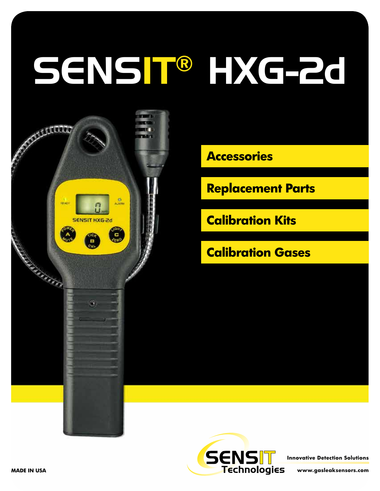# SENSIT® HXG-2d



**Accessories**

**Replacement Parts**

**Calibration Kits**

**Calibration Gases**



**Innovative Detection Solutions**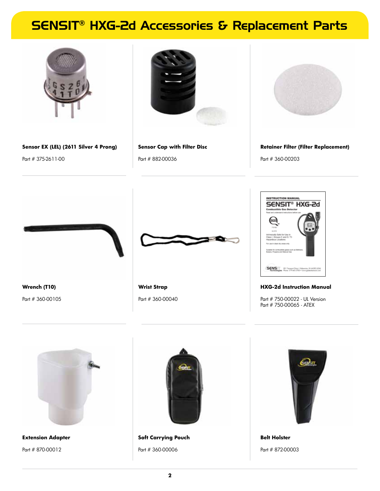# SENSIT® HXG-2d Accessories & Replacement Parts



**Sensor EX (LEL) (2611 Silver 4 Prong)** Part # 375-2611-00



**Sensor Cap with Filter Disc**  Part # 882-00036



**Retainer Filter (Filter Replacement)** Part # 360-00203



**Wrist Strap** Part # 360-00040



#### **HXG-2d Instruction Manual**

Part # 750-00022 - UL Version Part # 750-00065 - ATEX



**Extension Adapter**  Part # 870-00012

**Wrench (T10)** Part # 360-00105



**Soft Carrying Pouch** Part # 360-00006



**Belt Holster** Part # 872-00003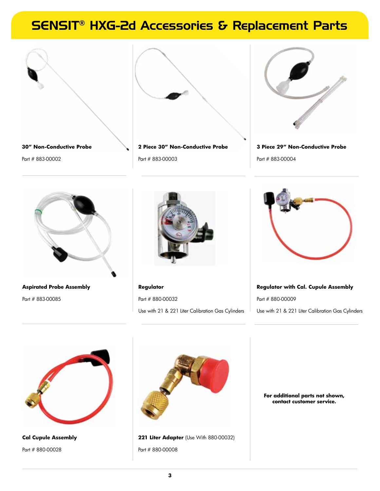# SENSIT® HXG-2d Accessories & Replacement Parts





**2 Piece 30" Non-Conductive Probe**  Part # 883-00003



**3 Piece 29" Non-Conductive Probe**  Part # 883-00004



**Aspirated Probe Assembly**  Part # 883-00085



**Regulator**  Part # 880-00032 Use with 21 & 221 Liter Calibration Gas Cylinders



**Regulator with Cal. Cupule Assembly** Part # 880-00009 Use with 21 & 221 Liter Calibration Gas Cylinders



**Cal Cupule Assembly**  Part # 880-00028



**221 Liter Adapter** (Use With 880-00032) Part # 880-00008

**For additional parts not shown, contact customer service.**